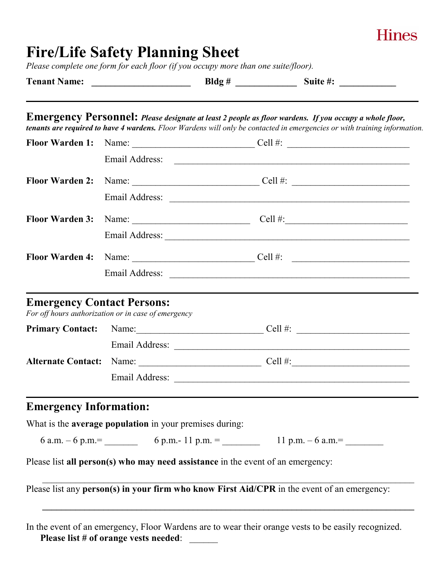| <b>Hines</b> |
|--------------|
|              |

## **Fire/Life Safety Planning Sheet**

*Please complete one form for each floor (if you occupy more than one suite/floor).*

|                               |                                                                                             | Emergency Personnel: Please designate at least 2 people as floor wardens. If you occupy a whole floor,<br>tenants are required to have 4 wardens. Floor Wardens will only be contacted in emergencies or with training information.                                                                                                                                                                           |
|-------------------------------|---------------------------------------------------------------------------------------------|---------------------------------------------------------------------------------------------------------------------------------------------------------------------------------------------------------------------------------------------------------------------------------------------------------------------------------------------------------------------------------------------------------------|
| <b>Floor Warden 1:</b>        |                                                                                             |                                                                                                                                                                                                                                                                                                                                                                                                               |
|                               |                                                                                             |                                                                                                                                                                                                                                                                                                                                                                                                               |
| <b>Floor Warden 2:</b>        |                                                                                             | Name: $\qquad \qquad \qquad \text{Cell } #: \qquad \qquad$                                                                                                                                                                                                                                                                                                                                                    |
|                               |                                                                                             |                                                                                                                                                                                                                                                                                                                                                                                                               |
| <b>Floor Warden 3:</b>        |                                                                                             | Name: $\frac{1}{\sqrt{1-\frac{1}{2}}\sqrt{1-\frac{1}{2}}\sqrt{1-\frac{1}{2}}\sqrt{1-\frac{1}{2}}\sqrt{1-\frac{1}{2}}\sqrt{1-\frac{1}{2}}\sqrt{1-\frac{1}{2}}\sqrt{1-\frac{1}{2}}\sqrt{1-\frac{1}{2}}\sqrt{1-\frac{1}{2}}\sqrt{1-\frac{1}{2}}\sqrt{1-\frac{1}{2}}\sqrt{1-\frac{1}{2}}\sqrt{1-\frac{1}{2}}\sqrt{1-\frac{1}{2}}\sqrt{1-\frac{1}{2}}\sqrt{1-\frac{1}{2}}\sqrt{1-\frac{1}{2}}\sqrt{1-\frac{1}{2}}$ |
|                               |                                                                                             |                                                                                                                                                                                                                                                                                                                                                                                                               |
| <b>Floor Warden 4:</b>        |                                                                                             | Name: $\qquad \qquad \qquad \text{Cell } #: \qquad \qquad$                                                                                                                                                                                                                                                                                                                                                    |
|                               |                                                                                             |                                                                                                                                                                                                                                                                                                                                                                                                               |
| <b>Primary Contact:</b>       | <b>Emergency Contact Persons:</b><br>For off hours authorization or in case of emergency    | Name: $\frac{1}{2}$ Cell #: $\frac{1}{2}$ Cell = $\frac{1}{2}$ Cell = $\frac{1}{2}$ Cell = $\frac{1}{2}$ Cell = $\frac{1}{2}$ Cell = $\frac{1}{2}$ Cell = $\frac{1}{2}$ Cell = $\frac{1}{2}$ Cell = $\frac{1}{2}$ Cell = $\frac{1}{2}$ Cell = $\frac{1}{2}$ Cell = $\frac{1}{2}$                                                                                                                              |
|                               |                                                                                             |                                                                                                                                                                                                                                                                                                                                                                                                               |
|                               |                                                                                             |                                                                                                                                                                                                                                                                                                                                                                                                               |
|                               |                                                                                             |                                                                                                                                                                                                                                                                                                                                                                                                               |
| <b>Emergency Information:</b> |                                                                                             |                                                                                                                                                                                                                                                                                                                                                                                                               |
|                               | What is the average population in your premises during:                                     |                                                                                                                                                                                                                                                                                                                                                                                                               |
|                               | 6 a.m. $-6$ p.m.= $6$ p.m. $-11$ p.m. $=$ $11$ p.m. $-6$ a.m. $=$                           |                                                                                                                                                                                                                                                                                                                                                                                                               |
|                               | Please list all person(s) who may need assistance in the event of an emergency:             |                                                                                                                                                                                                                                                                                                                                                                                                               |
|                               | Please list any person(s) in your firm who know First Aid/CPR in the event of an emergency: |                                                                                                                                                                                                                                                                                                                                                                                                               |
|                               |                                                                                             |                                                                                                                                                                                                                                                                                                                                                                                                               |
|                               |                                                                                             |                                                                                                                                                                                                                                                                                                                                                                                                               |

In the event of an emergency, Floor Wardens are to wear their orange vests to be easily recognized. Please list # of orange vests needed: \_\_\_\_\_\_